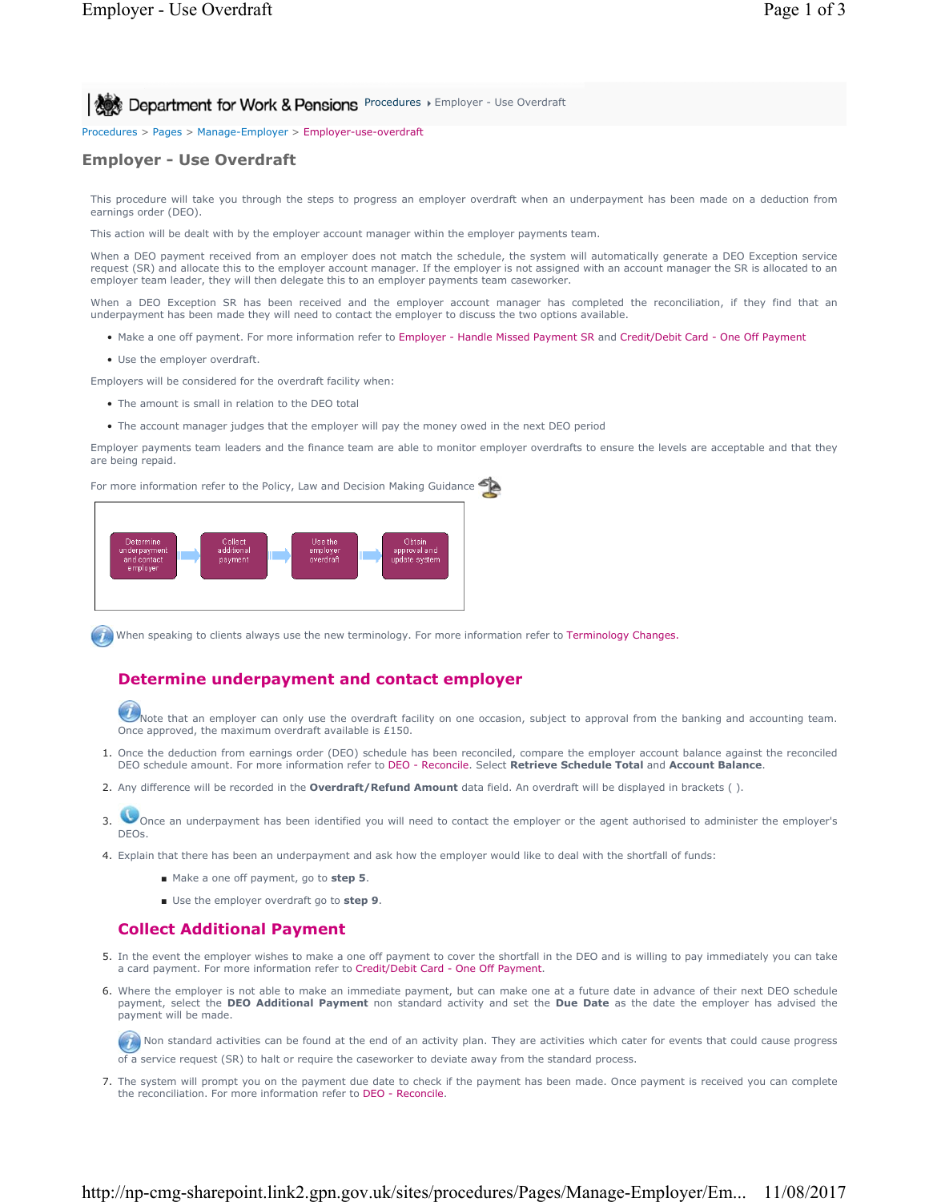**All Act Department for Work & Pensions** Procedures > Employer - Use Overdraft

Procedures > Pages > Manage-Employer > Employer-use-overdraft

# **Employer - Use Overdraft**

This procedure will take you through the steps to progress an employer overdraft when an underpayment has been made on a deduction from earnings order (DEO).

This action will be dealt with by the employer account manager within the employer payments team.

When a DEO payment received from an employer does not match the schedule, the system will automatically generate a DEO Exception service request (SR) and allocate this to the employer account manager. If the employer is not assigned with an account manager the SR is allocated to an employer team leader, they will then delegate this to an employer payments team caseworker.

When a DEO Exception SR has been received and the employer account manager has completed the reconciliation, if they find that an underpayment has been made they will need to contact the employer to discuss the two options available.

- Make a one off payment. For more information refer to Employer Handle Missed Payment SR and Credit/Debit Card One Off Payment
- Use the employer overdraft.

Employers will be considered for the overdraft facility when:

- The amount is small in relation to the DEO total
- The account manager judges that the employer will pay the money owed in the next DEO period

Employer payments team leaders and the finance team are able to monitor employer overdrafts to ensure the levels are acceptable and that they are being repaid.

For more information refer to the Policy, Law and Decision Making Guidance



When speaking to clients always use the new terminology. For more information refer to Terminology Changes.

# **Determine underpayment and contact employer**

Note that an employer can only use the overdraft facility on one occasion, subject to approval from the banking and accounting team. Once approved, the maximum overdraft available is £150.

- 1. Once the deduction from earnings order (DEO) schedule has been reconciled, compare the employer account balance against the reconciled DEO schedule amount. For more information refer to DEO - Reconcile. Select **Retrieve Schedule Total** and **Account Balance**.
- 2. Any difference will be recorded in the **Overdraft/Refund Amount** data field. An overdraft will be displayed in brackets ( ).
- Once an underpayment has been identified you will need to contact the employer or the agent authorised to administer the employer's DEOs. 3.
- 4. Explain that there has been an underpayment and ask how the employer would like to deal with the shortfall of funds:
	- Make a one off payment, go to step 5.
	- Use the employer overdraft go to **step 9**.

# **Collect Additional Payment**

- 5. In the event the employer wishes to make a one off payment to cover the shortfall in the DEO and is willing to pay immediately you can take a card payment. For more information refer to Credit/Debit Card - One Off Payment.
- 6. Where the employer is not able to make an immediate payment, but can make one at a future date in advance of their next DEO schedule payment, select the **DEO Additional Payment** non standard activity and set the **Due Date** as the date the employer has advised the payment will be made.

Non standard activities can be found at the end of an activity plan. They are activities which cater for events that could cause progress of a service request (SR) to halt or require the caseworker to deviate away from the standard process.

7. The system will prompt you on the payment due date to check if the payment has been made. Once payment is received you can complete the reconciliation. For more information refer to DEO - Reconcile.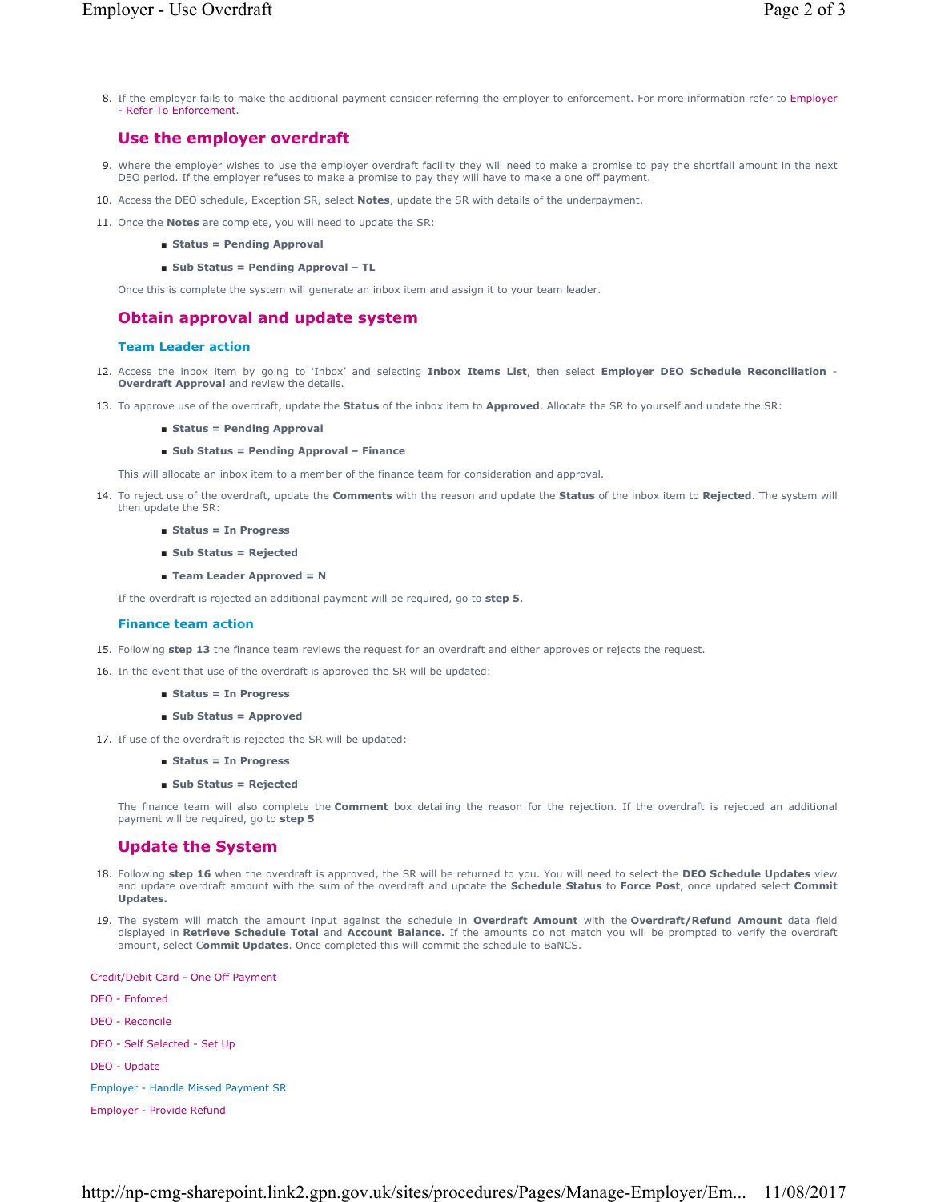8. If the employer fails to make the additional payment consider referring the employer to enforcement. For more information refer to Employer - Refer To Enforcement.

### **Use the employer overdraft**

- 9. Where the employer wishes to use the employer overdraft facility they will need to make a promise to pay the shortfall amount in the next DEO period. If the employer refuses to make a promise to pay they will have to make a one off payment.
- 10. Access the DEO schedule, Exception SR, select **Notes**, update the SR with details of the underpayment.
- 11. Once the **Notes** are complete, you will need to update the SR:
	- **Status = Pending Approval**
	- **Sub Status = Pending Approval TL**

Once this is complete the system will generate an inbox item and assign it to your team leader.

### **Obtain approval and update system**

#### **Team Leader action**

- 12. Access the inbox item by going to `Inbox' and selecting Inbox Items List, then select Employer DEO Schedule Reconciliation -**Overdraft Approval** and review the details.
- 13. To approve use of the overdraft, update the **Status** of the inbox item to **Approved**. Allocate the SR to yourself and update the SR:
	- **Status = Pending Approval**

#### ■ **Sub Status = Pending Approval – Finance**

This will allocate an inbox item to a member of the finance team for consideration and approval.

- 14. To reject use of the overdraft, update the Comments with the reason and update the Status of the inbox item to Rejected. The system will then update the SR:
	- **Status = In Progress**
	- **Sub Status = Rejected**
	- **Team Leader Approved = N**

If the overdraft is rejected an additional payment will be required, go to **step 5**.

#### **Finance team action**

15. Following **step 13** the finance team reviews the request for an overdraft and either approves or rejects the request.

- 16. In the event that use of the overdraft is approved the SR will be updated:
	- **Status = In Progress**
	- **Sub Status = Approved**
- 17. If use of the overdraft is rejected the SR will be updated:
	- **Status = In Progress**
	- **Sub Status = Rejected**

The finance team will also complete the **Comment** box detailing the reason for the rejection. If the overdraft is rejected an additional payment will be required, go to **step 5**

### **Update the System**

- 18. Following step 16 when the overdraft is approved, the SR will be returned to you. You will need to select the DEO Schedule Updates view and update overdraft amount with the sum of the overdraft and update the **Schedule Status** to **Force Post**, once updated select **Commit Updates.**
- 19. The system will match the amount input against the schedule in **Overdraft Amount** with the **Overdraft/Refund Amount** data field displayed in **Retrieve Schedule Total** and **Account Balance.** If the amounts do not match you will be prompted to verify the overdraft amount, select C**ommit Updates**. Once completed this will commit the schedule to BaNCS.

Credit/Debit Card - One Off Payment

DEO - Enforced

DEO - Reconcile

DEO - Self Selected - Set Up

DEO - Update

Employer - Handle Missed Payment SR

Employer - Provide Refund